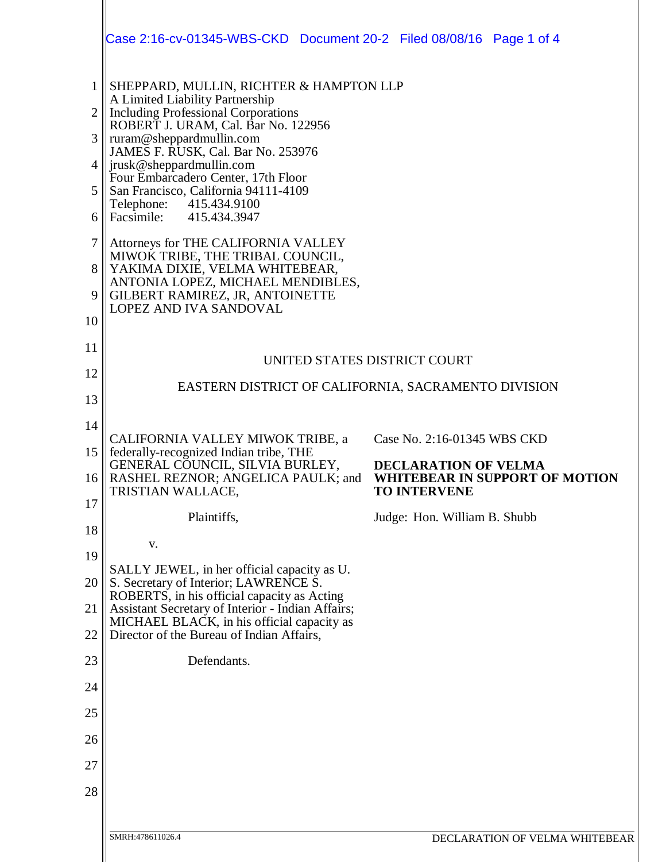|                                | Case 2:16-cv-01345-WBS-CKD  Document 20-2  Filed 08/08/16  Page 1 of 4                                                                       |                                                                                             |
|--------------------------------|----------------------------------------------------------------------------------------------------------------------------------------------|---------------------------------------------------------------------------------------------|
| $\mathbf{1}$<br>$\overline{2}$ | SHEPPARD, MULLIN, RICHTER & HAMPTON LLP<br>A Limited Liability Partnership<br><b>Including Professional Corporations</b>                     |                                                                                             |
| 3                              | ROBERT J. URAM, Cal. Bar No. 122956<br>ruram@sheppardmullin.com                                                                              |                                                                                             |
|                                | JAMES F. RUSK, Cal. Bar No. 253976<br> jrusk@sheppardmullin.com                                                                              |                                                                                             |
| 5                              | Four Embarcadero Center, 17th Floor<br>San Francisco, California 94111-4109<br>Telephone:<br>415.434.9100                                    |                                                                                             |
| 6                              | Facsimile: 415.434.3947                                                                                                                      |                                                                                             |
| $\tau$                         | Attorneys for THE CALIFORNIA VALLEY<br>MIWOK TRIBE, THE TRIBAL COUNCIL,                                                                      |                                                                                             |
| 8<br>9                         | YAKIMA DIXIE, VELMA WHITEBEAR,<br>ANTONIA LOPEZ, MICHAEL MENDIBLES,<br>GILBERT RAMIREZ, JR, ANTOINETTE<br>LOPEZ AND IVA SANDOVAL             |                                                                                             |
| 10                             |                                                                                                                                              |                                                                                             |
| 11                             | UNITED STATES DISTRICT COURT                                                                                                                 |                                                                                             |
| 12                             | EASTERN DISTRICT OF CALIFORNIA, SACRAMENTO DIVISION                                                                                          |                                                                                             |
| 13                             |                                                                                                                                              |                                                                                             |
| 14                             | CALIFORNIA VALLEY MIWOK TRIBE, a                                                                                                             | Case No. 2:16-01345 WBS CKD                                                                 |
| 15<br>16                       | federally-recognized Indian tribe, THE<br>GENERAL COUNCIL, SILVIA BURLEY,<br><b>RASHEL REZNOR; ANGELICA PAULK; and</b><br>TRISTIAN WALLACE,  | <b>DECLARATION OF VELMA</b><br><b>WHITEBEAR IN SUPPORT OF MOTION</b><br><b>TO INTERVENE</b> |
| 17                             | Plaintiffs,                                                                                                                                  | Judge: Hon. William B. Shubb                                                                |
| 18                             | V.                                                                                                                                           |                                                                                             |
| 19                             | SALLY JEWEL, in her official capacity as U.                                                                                                  |                                                                                             |
| 20                             | S. Secretary of Interior; LAWRENCE S.<br>ROBERTS, in his official capacity as Acting                                                         |                                                                                             |
| 21<br>22                       | Assistant Secretary of Interior - Indian Affairs;<br>MICHAEL BLACK, in his official capacity as<br>Director of the Bureau of Indian Affairs, |                                                                                             |
| 23                             | Defendants.                                                                                                                                  |                                                                                             |
| 24                             |                                                                                                                                              |                                                                                             |
| 25                             |                                                                                                                                              |                                                                                             |
| 26                             |                                                                                                                                              |                                                                                             |
| 27                             |                                                                                                                                              |                                                                                             |
| 28                             |                                                                                                                                              |                                                                                             |
|                                |                                                                                                                                              |                                                                                             |
|                                | SMRH:478611026.4                                                                                                                             | DECLARATION OF VELMA WHITEBEAR                                                              |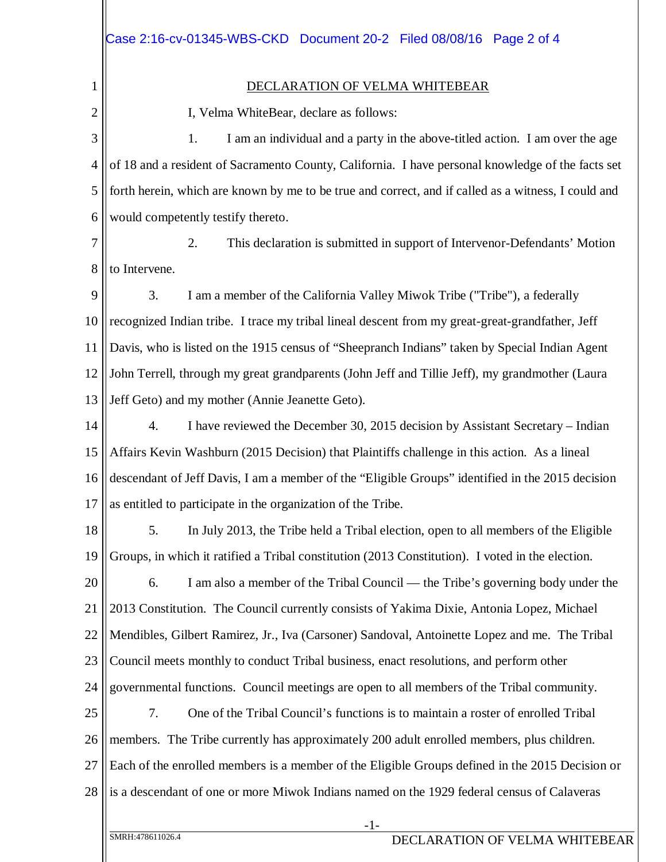| Case 2:16-cv-01345-WBS-CKD  Document 20-2  Filed 08/08/16  Page 2 of 4                              |  |  |
|-----------------------------------------------------------------------------------------------------|--|--|
|                                                                                                     |  |  |
| DECLARATION OF VELMA WHITEBEAR                                                                      |  |  |
| I, Velma WhiteBear, declare as follows:                                                             |  |  |
| I am an individual and a party in the above-titled action. I am over the age<br>1.                  |  |  |
| of 18 and a resident of Sacramento County, California. I have personal knowledge of the facts set   |  |  |
| forth herein, which are known by me to be true and correct, and if called as a witness, I could and |  |  |
| would competently testify thereto.                                                                  |  |  |
| 2.<br>This declaration is submitted in support of Intervenor-Defendants' Motion                     |  |  |
| to Intervene.                                                                                       |  |  |
| 3.<br>I am a member of the California Valley Miwok Tribe ("Tribe"), a federally                     |  |  |
| recognized Indian tribe. I trace my tribal lineal descent from my great-great-grandfather, Jeff     |  |  |

11 12 13 Davis, who is listed on the 1915 census of "Sheepranch Indians" taken by Special Indian Agent John Terrell, through my great grandparents (John Jeff and Tillie Jeff), my grandmother (Laura Jeff Geto) and my mother (Annie Jeanette Geto).

14 15 16 17 4. I have reviewed the December 30, 2015 decision by Assistant Secretary – Indian Affairs Kevin Washburn (2015 Decision) that Plaintiffs challenge in this action. As a lineal descendant of Jeff Davis, I am a member of the "Eligible Groups" identified in the 2015 decision as entitled to participate in the organization of the Tribe.

18 19 5. In July 2013, the Tribe held a Tribal election, open to all members of the Eligible Groups, in which it ratified a Tribal constitution (2013 Constitution). I voted in the election.

20 21 22 23 24 6. I am also a member of the Tribal Council — the Tribe's governing body under the 2013 Constitution. The Council currently consists of Yakima Dixie, Antonia Lopez, Michael Mendibles, Gilbert Ramirez, Jr., Iva (Carsoner) Sandoval, Antoinette Lopez and me. The Tribal Council meets monthly to conduct Tribal business, enact resolutions, and perform other governmental functions. Council meetings are open to all members of the Tribal community.

25 26 27 28 7. One of the Tribal Council's functions is to maintain a roster of enrolled Tribal members. The Tribe currently has approximately 200 adult enrolled members, plus children. Each of the enrolled members is a member of the Eligible Groups defined in the 2015 Decision or is a descendant of one or more Miwok Indians named on the 1929 federal census of Calaveras

1

2

3

4

5

6

7

8

9

10

-1-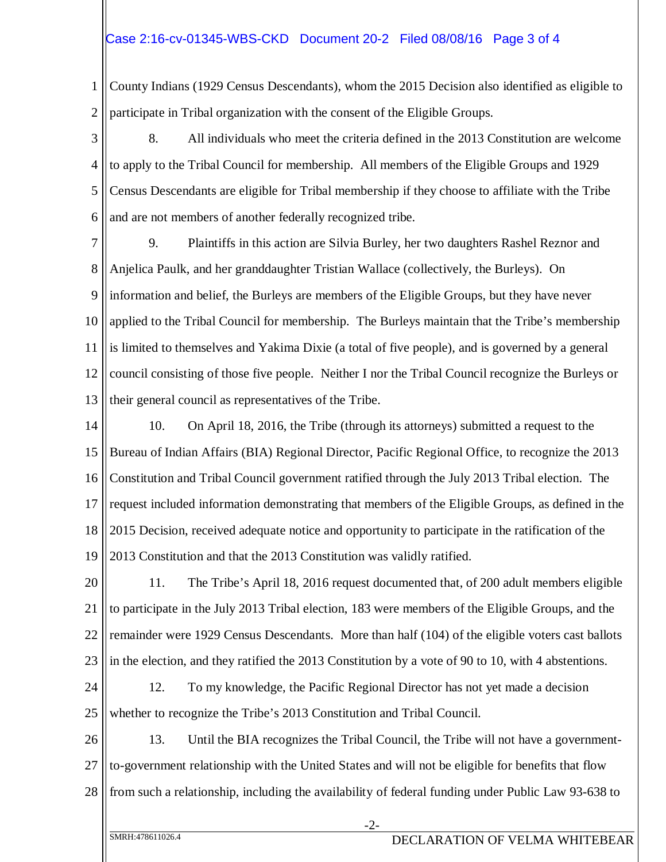1 2 County Indians (1929 Census Descendants), whom the 2015 Decision also identified as eligible to participate in Tribal organization with the consent of the Eligible Groups.

3 4 5 6 8. All individuals who meet the criteria defined in the 2013 Constitution are welcome to apply to the Tribal Council for membership. All members of the Eligible Groups and 1929 Census Descendants are eligible for Tribal membership if they choose to affiliate with the Tribe and are not members of another federally recognized tribe.

7 8 9 10 11 12 13 9. Plaintiffs in this action are Silvia Burley, her two daughters Rashel Reznor and Anjelica Paulk, and her granddaughter Tristian Wallace (collectively, the Burleys). On information and belief, the Burleys are members of the Eligible Groups, but they have never applied to the Tribal Council for membership. The Burleys maintain that the Tribe's membership is limited to themselves and Yakima Dixie (a total of five people), and is governed by a general council consisting of those five people. Neither I nor the Tribal Council recognize the Burleys or their general council as representatives of the Tribe.

14 15 16 17 18 19 10. On April 18, 2016, the Tribe (through its attorneys) submitted a request to the Bureau of Indian Affairs (BIA) Regional Director, Pacific Regional Office, to recognize the 2013 Constitution and Tribal Council government ratified through the July 2013 Tribal election. The request included information demonstrating that members of the Eligible Groups, as defined in the 2015 Decision, received adequate notice and opportunity to participate in the ratification of the 2013 Constitution and that the 2013 Constitution was validly ratified.

20 21 22 23 11. The Tribe's April 18, 2016 request documented that, of 200 adult members eligible to participate in the July 2013 Tribal election, 183 were members of the Eligible Groups, and the remainder were 1929 Census Descendants. More than half (104) of the eligible voters cast ballots in the election, and they ratified the 2013 Constitution by a vote of 90 to 10, with 4 abstentions.

24 25 12. To my knowledge, the Pacific Regional Director has not yet made a decision whether to recognize the Tribe's 2013 Constitution and Tribal Council.

26 27 28 13. Until the BIA recognizes the Tribal Council, the Tribe will not have a governmentto-government relationship with the United States and will not be eligible for benefits that flow from such a relationship, including the availability of federal funding under Public Law 93-638 to

-2-